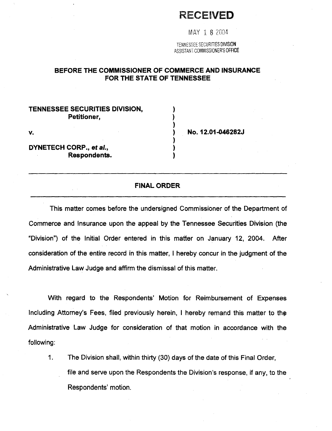## RECEIVED

MAY 1 8 2004

TENNESSEE SECURITIES DIVISION ASSISTANT COMMISSIONER'S OFFICE

## BEFORE THE COMMISSIONER OF COMMERCE AND INSURANCE FOR THE STATE OF TENNESSEE

) ) ) ) ) ) )

## TENNESSEE SECURITIES DIVISION, Petitioner,

v.

DYNETECH CORP., et a/., Respondents. No. 12.01-046282J

## FINAL ORDER

This matter comes before the undersigned Commissioner of the Department of Commerce and Insurance upon the appeal by the Tennessee Securities Division (the "Division") of the Initial Order entered in this matter on January 12, 2004. After consideration of the entire record in this matter, I hereby concur in the judgment of the Administrative Law Judge and affirm the dismissal of this matter.

With regard to the Respondents' Motion for Reimbursement of Expenses Including Attorney's Fees, filed previously herein, I hereby remand this matter to the Administrative Law Judge for consideration of that motion in accordance with the following:

1. The Division shall, within thirty (30) days of the date of this Final Order, file and serve upon the Respondents the Division's response, if any, to the Respondents' motion.